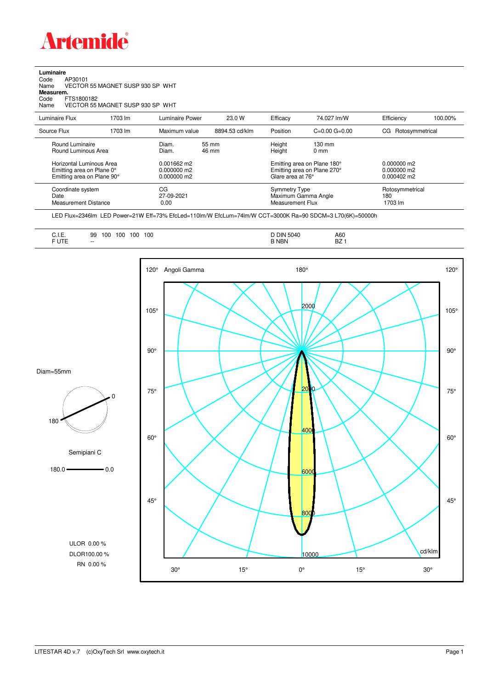

**Luminaire**<br>Code /<br>Name \ Code AP30101 Name VECTOR 55 MAGNET SUSP 930 SP WHT **Measurem.** Code FTS1800182

Name VECTOR 55 MAGNET SUSP 930 SP WHT

| Luminaire Flux                                                     | 1703 lm | Luminaire Power                 | 23.0 W                       | Efficacy          | 74.027 lm/W                                                       | Efficiency                            | 100.00%                           |  |
|--------------------------------------------------------------------|---------|---------------------------------|------------------------------|-------------------|-------------------------------------------------------------------|---------------------------------------|-----------------------------------|--|
| Source Flux                                                        | 1703 lm | Maximum value                   | 8894.53 cd/klm               | Position          | $C=0.00$ $G=0.00$                                                 | CG Rotosymmetrical                    |                                   |  |
| Round Luminaire<br>Round Luminous Area<br>Horizontal Luminous Area |         | Diam.<br>Diam.<br>$0.001662$ m2 | $55 \, \mathrm{mm}$<br>46 mm | Height<br>Height  | $130 \text{ mm}$<br>$0 \text{ mm}$<br>Emitting area on Plane 180° | $0.000000$ m2                         |                                   |  |
| Emitting area on Plane 0°<br>Emitting area on Plane 90°            |         | $0.000000$ m2<br>$0.000000$ m2  |                              | Glare area at 76° | Emitting area on Plane 270°                                       | $0.000000$ m2<br>$0.000402 \text{ m}$ |                                   |  |
| Coordinate system<br>Date<br><b>Measurement Distance</b>           |         | CG<br>27-09-2021<br>0.00        |                              |                   | <b>Symmetry Type</b><br>Maximum Gamma Angle<br>Measurement Flux   |                                       | Rotosymmetrical<br>180<br>1703 lm |  |

LED Flux=2346lm LED Power=21W Eff=73% EfcLed=110lm/W EfcLum=74lm/W CCT=3000K Ra=90 SDCM=3 L70(6K)=50000h